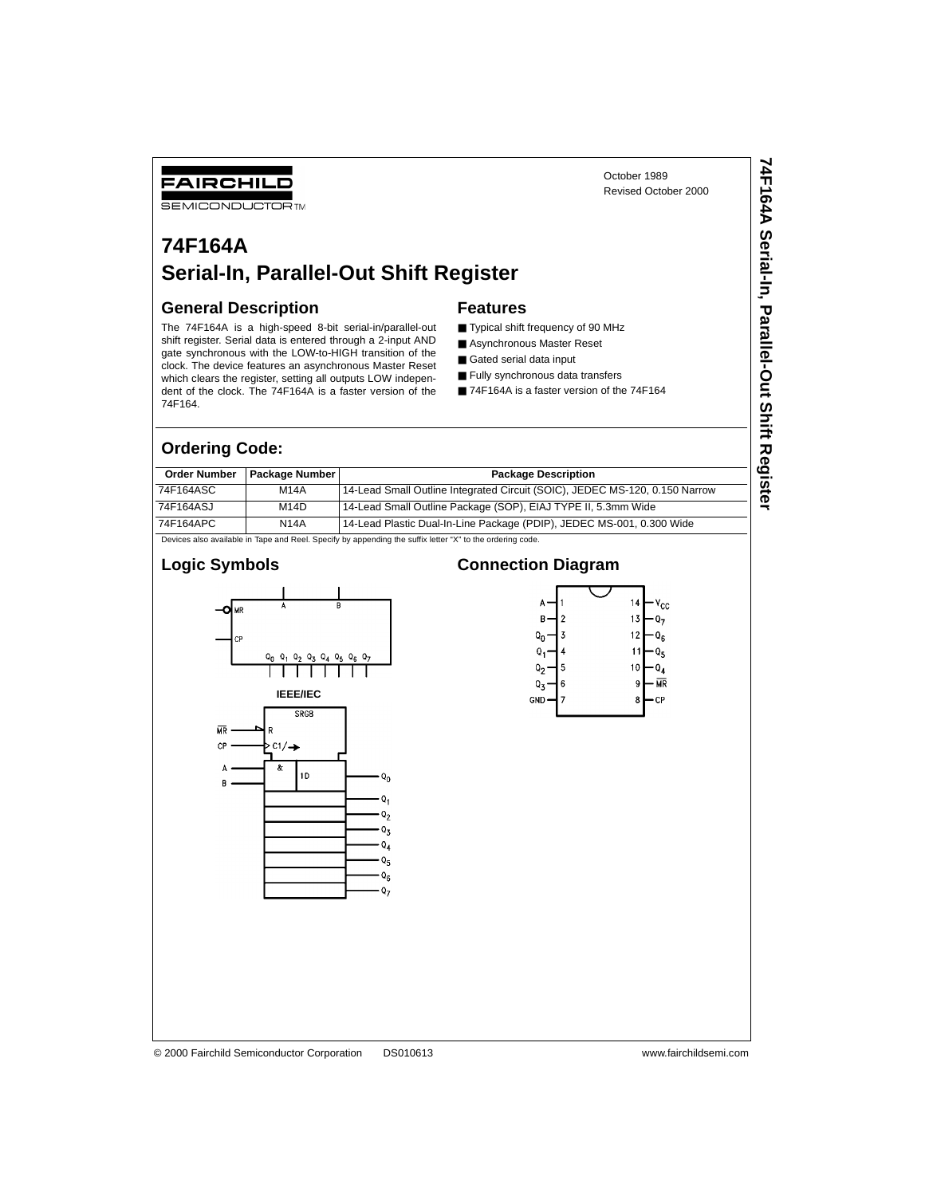October 1989 Revised October 2000 **74F164A Serial-In, Parallel-Out Shift Register**

74F164A Serial-In, Parallel-Out Shift Register

# **74F164A Serial-In, Parallel-Out Shift Register**

#### **General Description**

FAIRCHILD **SEMICONDUCTOR TM** 

The 74F164A is a high-speed 8-bit serial-in/parallel-out shift register. Serial data is entered through a 2-input AND gate synchronous with the LOW-to-HIGH transition of the clock. The device features an asynchronous Master Reset which clears the register, setting all outputs LOW independent of the clock. The 74F164A is a faster version of the 74F164.

#### **Features**

- Typical shift frequency of 90 MHz
- Asynchronous Master Reset
- Gated serial data input
- Fully synchronous data transfers
- 74F164A is a faster version of the 74F164

### **Ordering Code:**

| <b>Order Number</b> | <b>Package Number I</b> | <b>Package Description</b>                                                  |
|---------------------|-------------------------|-----------------------------------------------------------------------------|
| 74F164ASC           | <b>M14A</b>             | 14-Lead Small Outline Integrated Circuit (SOIC), JEDEC MS-120, 0.150 Narrow |
| 74F164ASJ           | M14D                    | 14-Lead Small Outline Package (SOP), EIAJ TYPE II, 5.3mm Wide               |
| 74F164APC           | <b>N14A</b>             | 14-Lead Plastic Dual-In-Line Package (PDIP), JEDEC MS-001, 0.300 Wide       |

Devices also available in Tape and Reel. Specify by appending the suffix letter "X" to the ordering code.

#### **Logic Symbols**



#### **Connection Diagram**

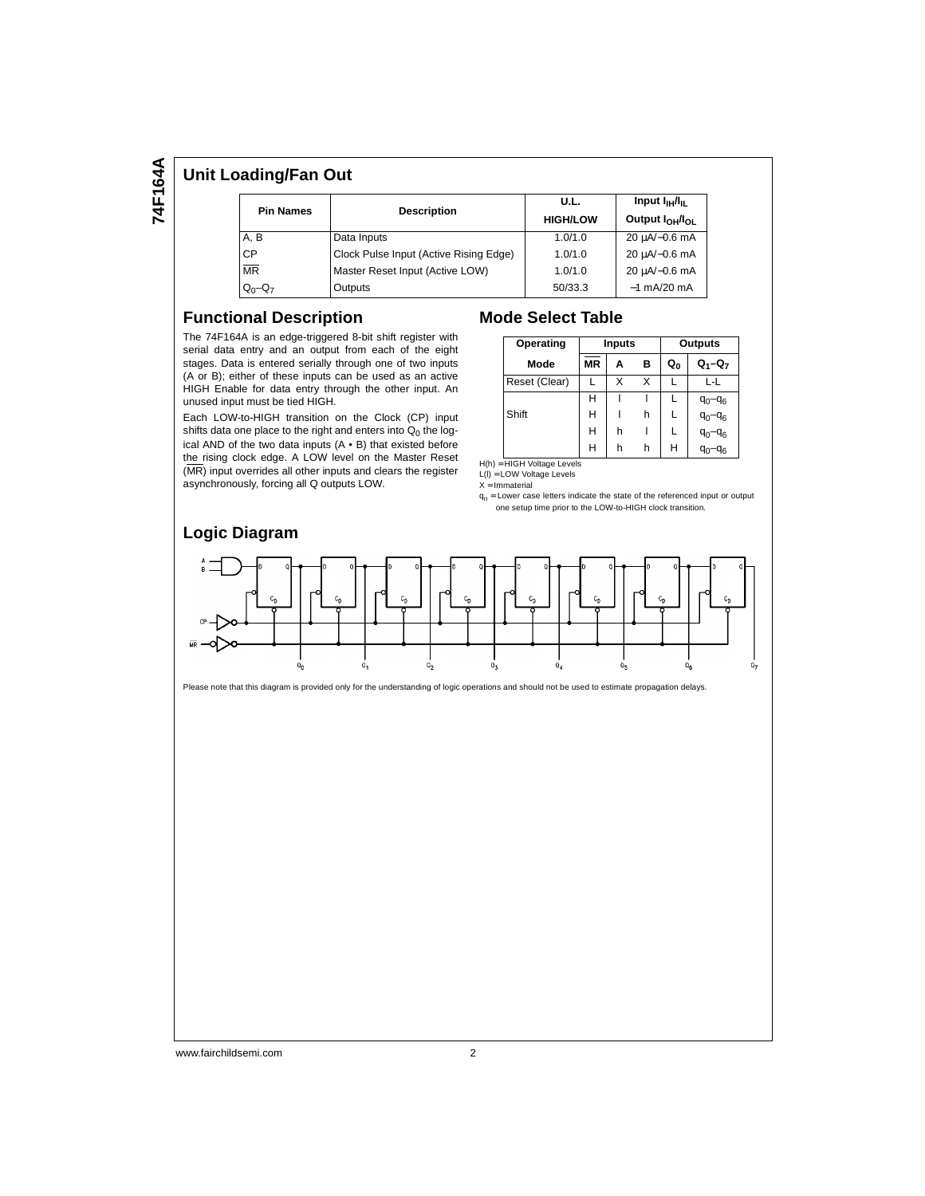# 74F164A **74F164A**

## **Unit Loading/Fan Out**

| <b>Pin Names</b> | <b>Description</b>                     | U.L.<br><b>HIGH/LOW</b> | Input $I_{\rm H}/I_{\rm H}$<br>Output I <sub>OH</sub> /I <sub>OL</sub> |  |  |
|------------------|----------------------------------------|-------------------------|------------------------------------------------------------------------|--|--|
| A, B             | Data Inputs                            | 1.0/1.0                 | $20 \mu A/-0.6 \text{ mA}$                                             |  |  |
| <b>CP</b>        | Clock Pulse Input (Active Rising Edge) | 1.0/1.0                 | 20 µA/-0.6 mA                                                          |  |  |
| <b>MR</b>        | Master Reset Input (Active LOW)        | 1.0/1.0                 | 20 µA/-0.6 mA                                                          |  |  |
| $Q_0 - Q_7$      | Outputs                                | 50/33.3                 | $-1$ mA/20 mA                                                          |  |  |

#### **Functional Description**

The 74F164A is an edge-triggered 8-bit shift register with serial data entry and an output from each of the eight stages. Data is entered serially through one of two inputs (A or B); either of these inputs can be used as an active HIGH Enable for data entry through the other input. An unused input must be tied HIGH.

Each LOW-to-HIGH transition on the Clock (CP) input shifts data one place to the right and enters into  $Q_0$  the logical AND of the two data inputs (A • B) that existed before the rising clock edge. A LOW level on the Master Reset (MR) input overrides all other inputs and clears the register asynchronously, forcing all Q outputs LOW.

#### **Mode Select Table**

| Operating     | <b>Inputs</b> |   |   | Outputs        |             |  |  |
|---------------|---------------|---|---|----------------|-------------|--|--|
| Mode          | <b>MR</b>     | A | в | Q <sub>0</sub> | $Q_1 - Q_7$ |  |  |
| Reset (Clear) |               | x | x |                | l -l        |  |  |
|               | н             |   |   |                | $q_0 - q_6$ |  |  |
| Shift         | н             |   | h |                | $q_0 - q_6$ |  |  |
|               | н             | h |   |                | $q_0 - q_6$ |  |  |
|               | Н             | h | h | н              | $q_0 - q_6$ |  |  |

H(h) = HIGH Voltage Levels

 $L(I) = LOW$  Voltage Levels  $X = ImmateriaI$ 

 $q_n$  = Lower case letters indicate the state of the referenced input or output one setup time prior to the LOW-to-HIGH clock transition.



Please note that this diagram is provided only for the understanding of logic operations and should not be used to estimate propagation delays.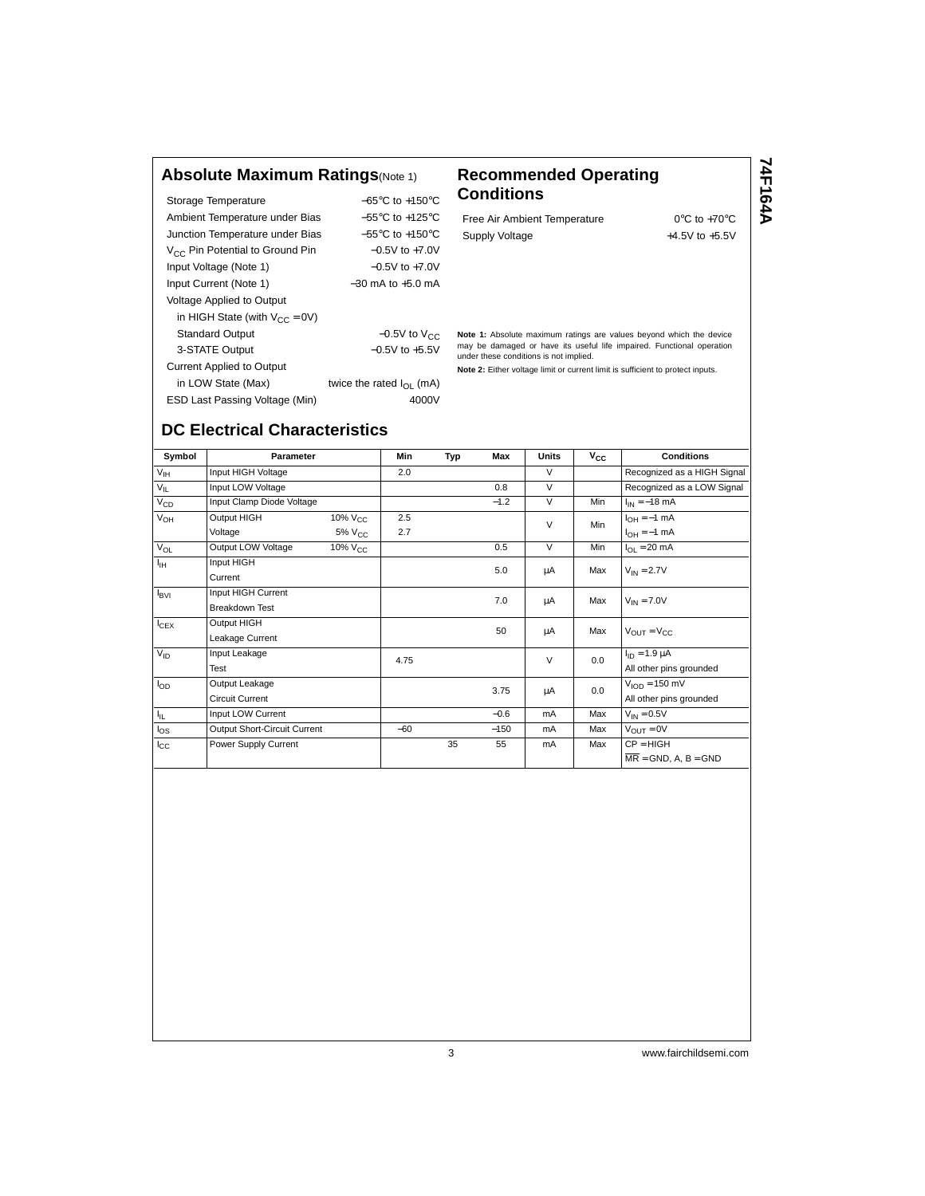## **Absolute Maximum Ratings**(Note 1) **Recommended Operating**

| Storage Temperature                         | $-65^{\circ}$ C to $+150^{\circ}$ C |
|---------------------------------------------|-------------------------------------|
| Ambient Temperature under Bias              | $-55^{\circ}$ C to $+125^{\circ}$ C |
| Junction Temperature under Bias             | $-55^{\circ}$ C to $+150^{\circ}$ C |
| V <sub>CC</sub> Pin Potential to Ground Pin | $-0.5V$ to $+7.0V$                  |
| Input Voltage (Note 1)                      | $-0.5V$ to $+7.0V$                  |
| Input Current (Note 1)                      | $-30$ mA to $+5.0$ mA               |
| Voltage Applied to Output                   |                                     |
| in HIGH State (with $V_{CC} = 0V$ )         |                                     |
| <b>Standard Output</b>                      | $-0.5V$ to $V_{CC}$                 |
| 3-STATE Output                              | $-0.5V$ to $+5.5V$                  |
| <b>Current Applied to Output</b>            |                                     |
| in LOW State (Max)                          | twice the rated $I_{\Omega}$ (mA)   |
| ESD Last Passing Voltage (Min)              | 4000V                               |

# **Conditions**

Free Air Ambient Temperature 0°C to +70°C Supply Voltage  $+4.5V$  to  $+5.5V$  74F164A **74F164A**

**Note 1:** Absolute maximum ratings are values beyond which the device may be damaged or have its useful life impaired. Functional operation under these conditions is not implied.

**Note 2:** Either voltage limit or current limit is sufficient to protect inputs.

## **DC Electrical Characteristics**

| Symbol           | <b>Parameter</b>             |                                     | Min   | Typ | Max    | Units  | $v_{\rm cc}$ | <b>Conditions</b>                          |
|------------------|------------------------------|-------------------------------------|-------|-----|--------|--------|--------------|--------------------------------------------|
| V <sub>IH</sub>  | Input HIGH Voltage           |                                     | 2.0   |     |        | $\vee$ |              | Recognized as a HIGH Signal                |
| $V_{IL}$         | Input LOW Voltage            |                                     |       |     | 0.8    | $\vee$ |              | Recognized as a LOW Signal                 |
| $V_{CD}$         | Input Clamp Diode Voltage    |                                     |       |     | $-1.2$ | $\vee$ | Min          | $I_{IN} = -18$ mA                          |
| $V_{OH}$         | Output HIGH                  | $\frac{10\%}{10\%}$ V <sub>CC</sub> | 2.5   |     |        | $\vee$ | Min          | $I_{OH} = -1$ mA                           |
|                  | Voltage                      | $5\%$ $V_{CC}$                      | 2.7   |     |        |        |              | $I_{OH} = -1$ mA                           |
| $V_{OL}$         | Output LOW Voltage           | $10\%$ $V_{CC}$                     |       |     | 0.5    | $\vee$ | Min          | $I_{OL}$ = 20 mA                           |
| ŀн               | Input HIGH                   |                                     |       |     | 5.0    | μA     | Max          | $V_{IN} = 2.7V$                            |
|                  | Current                      |                                     |       |     |        |        |              |                                            |
| $I_{\text{BVI}}$ | Input HIGH Current           |                                     |       |     | 7.0    | μA     | Max          | $V_{IN} = 7.0V$                            |
|                  | <b>Breakdown Test</b>        |                                     |       |     |        |        |              |                                            |
| $I_{CEX}$        | Output HIGH                  |                                     |       |     | 50     | μA     | Max          | $V_{\text{OUT}} = V_{\text{CC}}$           |
|                  | Leakage Current              |                                     |       |     |        |        |              |                                            |
| $V_{ID}$         | Input Leakage                |                                     | 4.75  |     |        | $\vee$ | 0.0          | $I_{ID} = 1.9 \mu A$                       |
|                  | Test                         |                                     |       |     |        |        |              | All other pins grounded                    |
| $I_{OD}$         | Output Leakage               |                                     |       |     | 3.75   | μA     | 0.0          | $VION = 150$ mV                            |
|                  | <b>Circuit Current</b>       |                                     |       |     |        |        |              | All other pins grounded                    |
| Ι'n.             | Input LOW Current            |                                     |       |     | $-0.6$ | mA     | Max          | $V_{IN} = 0.5V$                            |
| $I_{OS}$         | Output Short-Circuit Current |                                     | $-60$ |     | $-150$ | mA     | Max          | $V_{\text{OUT}} = 0V$                      |
| $I_{\rm CC}$     | Power Supply Current         |                                     |       | 35  | 55     | mA     | Max          | $CP = HIGH$                                |
|                  |                              |                                     |       |     |        |        |              | $\overline{\mathsf{MR}}$ = GND, A, B = GND |

3 www.fairchildsemi.com